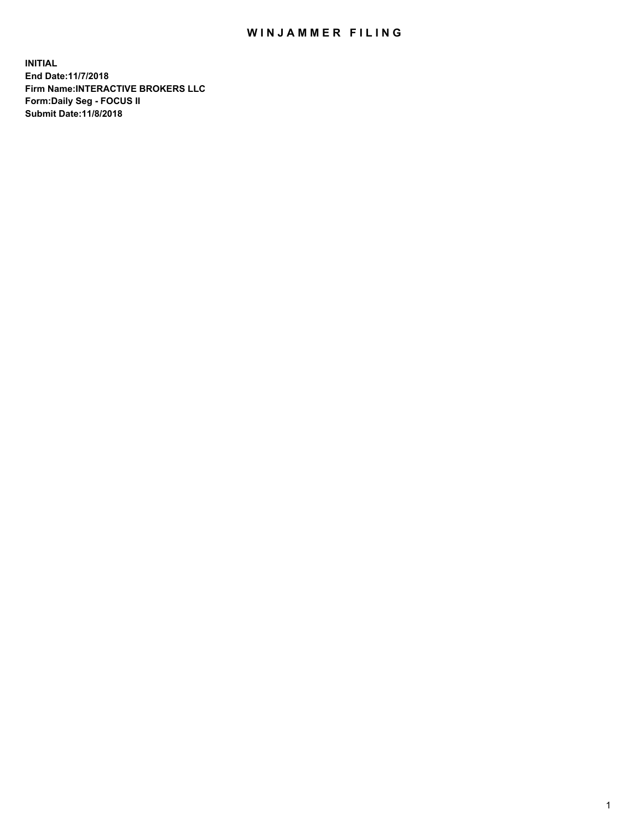## WIN JAMMER FILING

**INITIAL End Date:11/7/2018 Firm Name:INTERACTIVE BROKERS LLC Form:Daily Seg - FOCUS II Submit Date:11/8/2018**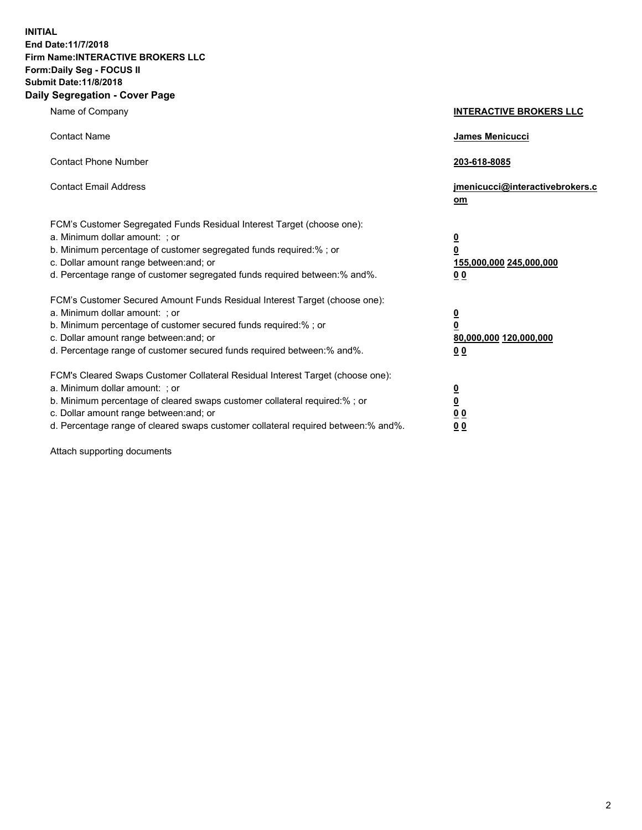**INITIAL End Date:11/7/2018 Firm Name:INTERACTIVE BROKERS LLC Form:Daily Seg - FOCUS II Submit Date:11/8/2018 Daily Segregation - Cover Page**

| Name of Company                                                                                                                                                                                                                                                                                                                | <b>INTERACTIVE BROKERS LLC</b>                                                                  |
|--------------------------------------------------------------------------------------------------------------------------------------------------------------------------------------------------------------------------------------------------------------------------------------------------------------------------------|-------------------------------------------------------------------------------------------------|
| <b>Contact Name</b>                                                                                                                                                                                                                                                                                                            | James Menicucci                                                                                 |
| <b>Contact Phone Number</b>                                                                                                                                                                                                                                                                                                    | 203-618-8085                                                                                    |
| <b>Contact Email Address</b>                                                                                                                                                                                                                                                                                                   | jmenicucci@interactivebrokers.c<br>om                                                           |
| FCM's Customer Segregated Funds Residual Interest Target (choose one):<br>a. Minimum dollar amount: ; or<br>b. Minimum percentage of customer segregated funds required:% ; or<br>c. Dollar amount range between: and; or<br>d. Percentage range of customer segregated funds required between:% and%.                         | $\overline{\mathbf{0}}$<br>$\overline{\mathbf{0}}$<br>155,000,000 245,000,000<br>0 <sub>0</sub> |
| FCM's Customer Secured Amount Funds Residual Interest Target (choose one):<br>a. Minimum dollar amount: ; or<br>b. Minimum percentage of customer secured funds required:% ; or<br>c. Dollar amount range between: and; or<br>d. Percentage range of customer secured funds required between:% and%.                           | $\overline{\mathbf{0}}$<br>0<br>80,000,000 120,000,000<br>0 <sub>0</sub>                        |
| FCM's Cleared Swaps Customer Collateral Residual Interest Target (choose one):<br>a. Minimum dollar amount: ; or<br>b. Minimum percentage of cleared swaps customer collateral required:% ; or<br>c. Dollar amount range between: and; or<br>d. Percentage range of cleared swaps customer collateral required between:% and%. | $\overline{\mathbf{0}}$<br><u>0</u><br>$\underline{0}$ $\underline{0}$<br>00                    |

Attach supporting documents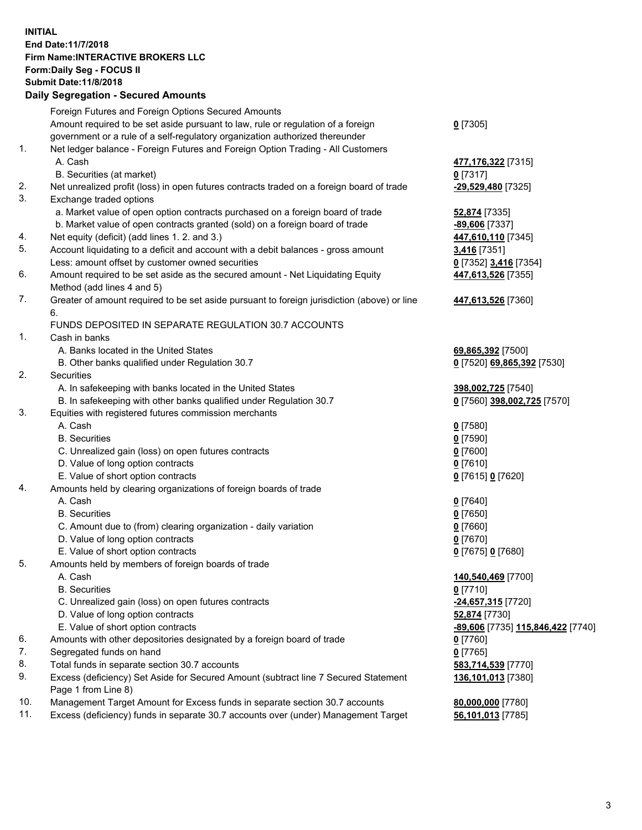## **INITIAL End Date:11/7/2018 Firm Name:INTERACTIVE BROKERS LLC Form:Daily Seg - FOCUS II Submit Date:11/8/2018 Daily Segregation - Secured Amounts**

|                | Daily Ocglegation - Occarea Anioants                                                              |                                   |
|----------------|---------------------------------------------------------------------------------------------------|-----------------------------------|
|                | Foreign Futures and Foreign Options Secured Amounts                                               |                                   |
|                | Amount required to be set aside pursuant to law, rule or regulation of a foreign                  | $0$ [7305]                        |
|                | government or a rule of a self-regulatory organization authorized thereunder                      |                                   |
| $\mathbf{1}$ . | Net ledger balance - Foreign Futures and Foreign Option Trading - All Customers                   |                                   |
|                | A. Cash                                                                                           | 477,176,322 [7315]                |
|                | B. Securities (at market)                                                                         | $0$ [7317]                        |
| 2.             | Net unrealized profit (loss) in open futures contracts traded on a foreign board of trade         | -29,529,480 [7325]                |
| 3.             | Exchange traded options                                                                           |                                   |
|                | a. Market value of open option contracts purchased on a foreign board of trade                    | <b>52,874</b> [7335]              |
|                | b. Market value of open contracts granted (sold) on a foreign board of trade                      | -89,606 [7337]                    |
| 4.             | Net equity (deficit) (add lines 1. 2. and 3.)                                                     | 447,610,110 [7345]                |
| 5.             | Account liquidating to a deficit and account with a debit balances - gross amount                 | 3,416 [7351]                      |
|                | Less: amount offset by customer owned securities                                                  | 0 [7352] 3,416 [7354]             |
| 6.             | Amount required to be set aside as the secured amount - Net Liquidating Equity                    | 447,613,526 [7355]                |
|                | Method (add lines 4 and 5)                                                                        |                                   |
| 7.             | Greater of amount required to be set aside pursuant to foreign jurisdiction (above) or line<br>6. | 447,613,526 [7360]                |
|                | FUNDS DEPOSITED IN SEPARATE REGULATION 30.7 ACCOUNTS                                              |                                   |
| 1.             | Cash in banks                                                                                     |                                   |
|                | A. Banks located in the United States                                                             | 69,865,392 [7500]                 |
|                | B. Other banks qualified under Regulation 30.7                                                    | 0 [7520] 69,865,392 [7530]        |
| 2.             | Securities                                                                                        |                                   |
|                | A. In safekeeping with banks located in the United States                                         | 398,002,725 [7540]                |
|                | B. In safekeeping with other banks qualified under Regulation 30.7                                | 0 [7560] 398,002,725 [7570]       |
| 3.             | Equities with registered futures commission merchants                                             |                                   |
|                | A. Cash                                                                                           | $0$ [7580]                        |
|                | <b>B.</b> Securities                                                                              | $0$ [7590]                        |
|                | C. Unrealized gain (loss) on open futures contracts                                               | $0$ [7600]                        |
|                | D. Value of long option contracts                                                                 | $0$ [7610]                        |
|                | E. Value of short option contracts                                                                | 0 [7615] 0 [7620]                 |
| 4.             | Amounts held by clearing organizations of foreign boards of trade                                 |                                   |
|                | A. Cash                                                                                           | $0$ [7640]                        |
|                | <b>B.</b> Securities                                                                              | $0$ [7650]                        |
|                | C. Amount due to (from) clearing organization - daily variation                                   | $0$ [7660]                        |
|                | D. Value of long option contracts                                                                 | $0$ [7670]                        |
|                | E. Value of short option contracts                                                                | 0 [7675] 0 [7680]                 |
| 5.             | Amounts held by members of foreign boards of trade                                                |                                   |
|                | A. Cash                                                                                           | 140,540,469 [7700]                |
|                | <b>B.</b> Securities                                                                              | $0$ [7710]                        |
|                | C. Unrealized gain (loss) on open futures contracts                                               | -24,657,315 [7720]                |
|                | D. Value of long option contracts                                                                 | 52,874 [7730]                     |
|                | E. Value of short option contracts                                                                | -89,606 [7735] 115,846,422 [7740] |
| 6.             | Amounts with other depositories designated by a foreign board of trade                            | 0 [7760]                          |
| 7.             | Segregated funds on hand                                                                          | $0$ [7765]                        |
| 8.             | Total funds in separate section 30.7 accounts                                                     | 583,714,539 [7770]                |
| 9.             | Excess (deficiency) Set Aside for Secured Amount (subtract line 7 Secured Statement               | 136,101,013 [7380]                |
|                | Page 1 from Line 8)                                                                               |                                   |
| 10.            | Management Target Amount for Excess funds in separate section 30.7 accounts                       | 80,000,000 [7780]                 |
| 11.            | Excess (deficiency) funds in separate 30.7 accounts over (under) Management Target                | 56,101,013 [7785]                 |
|                |                                                                                                   |                                   |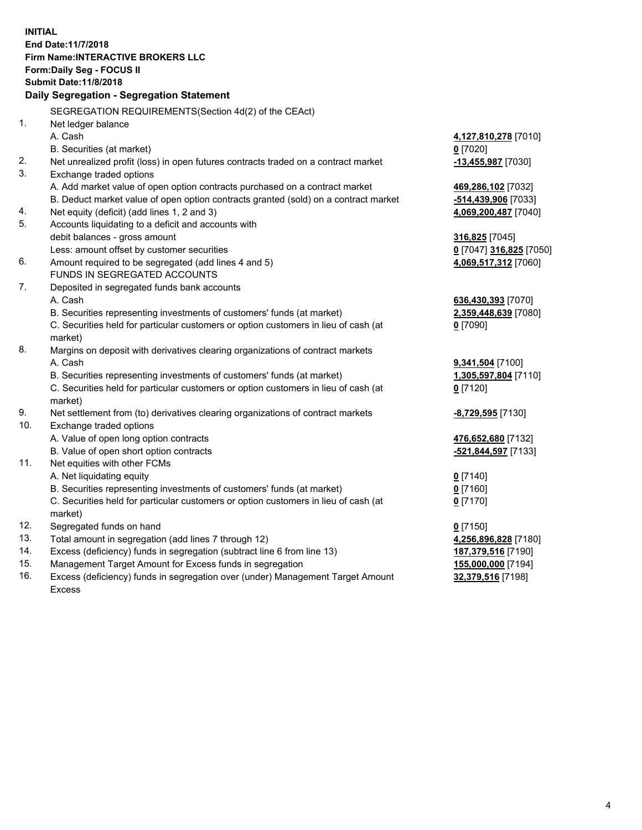**INITIAL End Date:11/7/2018 Firm Name:INTERACTIVE BROKERS LLC Form:Daily Seg - FOCUS II Submit Date:11/8/2018 Daily Segregation - Segregation Statement** SEGREGATION REQUIREMENTS(Section 4d(2) of the CEAct) 1. Net ledger balance A. Cash **4,127,810,278** [7010] B. Securities (at market) **0** [7020] 2. Net unrealized profit (loss) in open futures contracts traded on a contract market **-13,455,987** [7030] 3. Exchange traded options A. Add market value of open option contracts purchased on a contract market **469,286,102** [7032] B. Deduct market value of open option contracts granted (sold) on a contract market **-514,439,906** [7033] 4. Net equity (deficit) (add lines 1, 2 and 3) **4,069,200,487** [7040] 5. Accounts liquidating to a deficit and accounts with debit balances - gross amount **316,825** [7045] Less: amount offset by customer securities **0** [7047] **316,825** [7050] 6. Amount required to be segregated (add lines 4 and 5) **4,069,517,312** [7060] FUNDS IN SEGREGATED ACCOUNTS 7. Deposited in segregated funds bank accounts A. Cash **636,430,393** [7070] B. Securities representing investments of customers' funds (at market) **2,359,448,639** [7080] C. Securities held for particular customers or option customers in lieu of cash (at market) **0** [7090] 8. Margins on deposit with derivatives clearing organizations of contract markets A. Cash **9,341,504** [7100] B. Securities representing investments of customers' funds (at market) **1,305,597,804** [7110] C. Securities held for particular customers or option customers in lieu of cash (at market) **0** [7120] 9. Net settlement from (to) derivatives clearing organizations of contract markets **-8,729,595** [7130] 10. Exchange traded options A. Value of open long option contracts **476,652,680** [7132] B. Value of open short option contracts **-521,844,597** [7133] 11. Net equities with other FCMs A. Net liquidating equity **0** [7140] B. Securities representing investments of customers' funds (at market) **0** [7160] C. Securities held for particular customers or option customers in lieu of cash (at market) **0** [7170] 12. Segregated funds on hand **0** [7150] 13. Total amount in segregation (add lines 7 through 12) **4,256,896,828** [7180] 14. Excess (deficiency) funds in segregation (subtract line 6 from line 13) **187,379,516** [7190] 15. Management Target Amount for Excess funds in segregation **155,000,000** [7194]

16. Excess (deficiency) funds in segregation over (under) Management Target Amount Excess

**32,379,516** [7198]